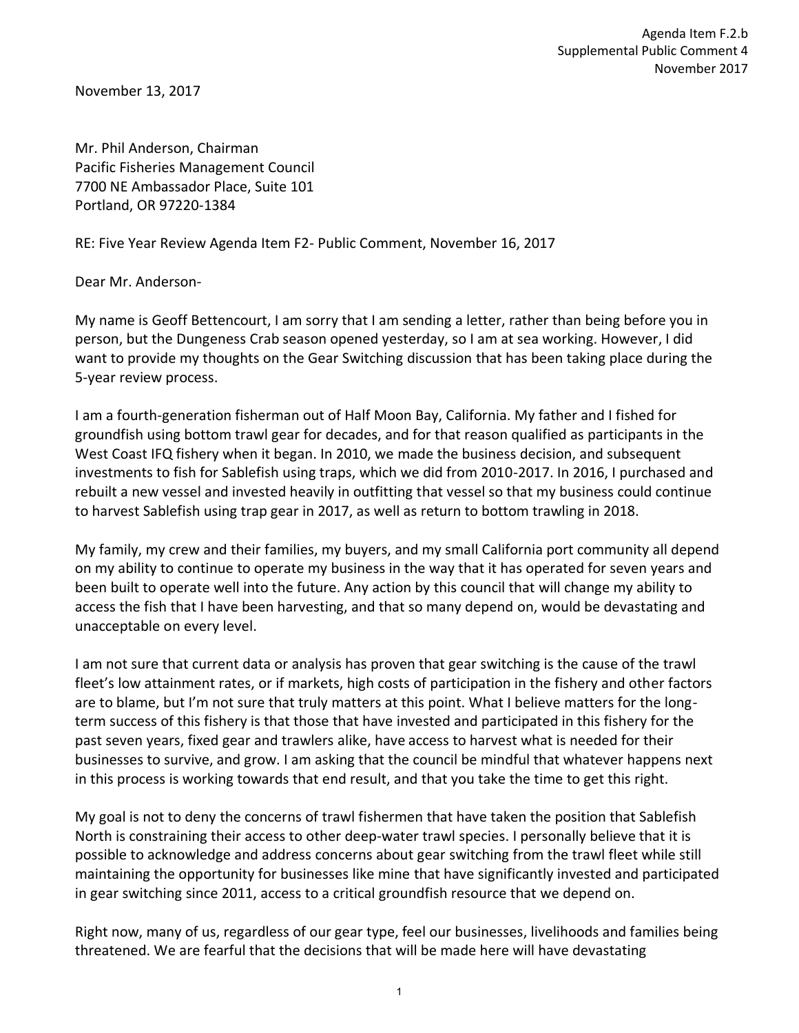November 13, 2017

Mr. Phil Anderson, Chairman Pacific Fisheries Management Council 7700 NE Ambassador Place, Suite 101 Portland, OR 97220-1384

RE: Five Year Review Agenda Item F2- Public Comment, November 16, 2017

Dear Mr. Anderson-

My name is Geoff Bettencourt, I am sorry that I am sending a letter, rather than being before you in person, but the Dungeness Crab season opened yesterday, so I am at sea working. However, I did want to provide my thoughts on the Gear Switching discussion that has been taking place during the 5-year review process.

I am a fourth-generation fisherman out of Half Moon Bay, California. My father and I fished for groundfish using bottom trawl gear for decades, and for that reason qualified as participants in the West Coast IFQ fishery when it began. In 2010, we made the business decision, and subsequent investments to fish for Sablefish using traps, which we did from 2010-2017. In 2016, I purchased and rebuilt a new vessel and invested heavily in outfitting that vessel so that my business could continue to harvest Sablefish using trap gear in 2017, as well as return to bottom trawling in 2018.

My family, my crew and their families, my buyers, and my small California port community all depend on my ability to continue to operate my business in the way that it has operated for seven years and been built to operate well into the future. Any action by this council that will change my ability to access the fish that I have been harvesting, and that so many depend on, would be devastating and unacceptable on every level.

I am not sure that current data or analysis has proven that gear switching is the cause of the trawl fleet's low attainment rates, or if markets, high costs of participation in the fishery and other factors are to blame, but I'm not sure that truly matters at this point. What I believe matters for the longterm success of this fishery is that those that have invested and participated in this fishery for the past seven years, fixed gear and trawlers alike, have access to harvest what is needed for their businesses to survive, and grow. I am asking that the council be mindful that whatever happens next in this process is working towards that end result, and that you take the time to get this right.

My goal is not to deny the concerns of trawl fishermen that have taken the position that Sablefish North is constraining their access to other deep-water trawl species. I personally believe that it is possible to acknowledge and address concerns about gear switching from the trawl fleet while still maintaining the opportunity for businesses like mine that have significantly invested and participated in gear switching since 2011, access to a critical groundfish resource that we depend on.

Right now, many of us, regardless of our gear type, feel our businesses, livelihoods and families being threatened. We are fearful that the decisions that will be made here will have devastating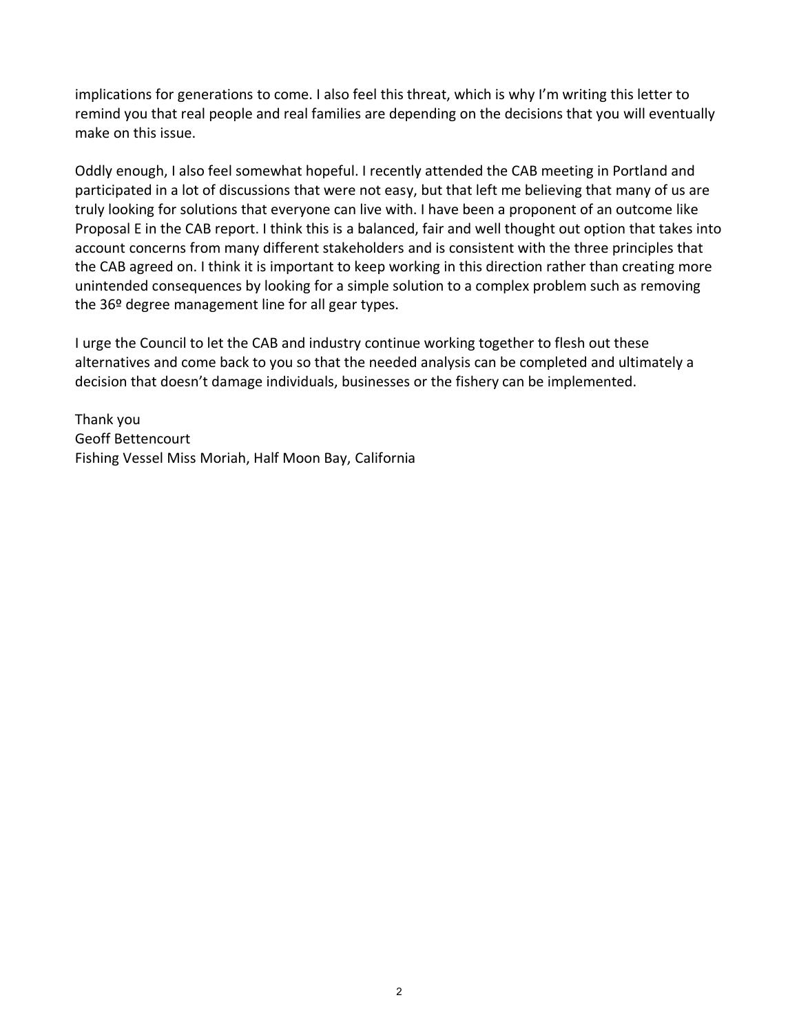implications for generations to come. I also feel this threat, which is why I'm writing this letter to remind you that real people and real families are depending on the decisions that you will eventually make on this issue.

Oddly enough, I also feel somewhat hopeful. I recently attended the CAB meeting in Portland and participated in a lot of discussions that were not easy, but that left me believing that many of us are truly looking for solutions that everyone can live with. I have been a proponent of an outcome like Proposal E in the CAB report. I think this is a balanced, fair and well thought out option that takes into account concerns from many different stakeholders and is consistent with the three principles that the CAB agreed on. I think it is important to keep working in this direction rather than creating more unintended consequences by looking for a simple solution to a complex problem such as removing the 36º degree management line for all gear types.

I urge the Council to let the CAB and industry continue working together to flesh out these alternatives and come back to you so that the needed analysis can be completed and ultimately a decision that doesn't damage individuals, businesses or the fishery can be implemented.

Thank you Geoff Bettencourt Fishing Vessel Miss Moriah, Half Moon Bay, California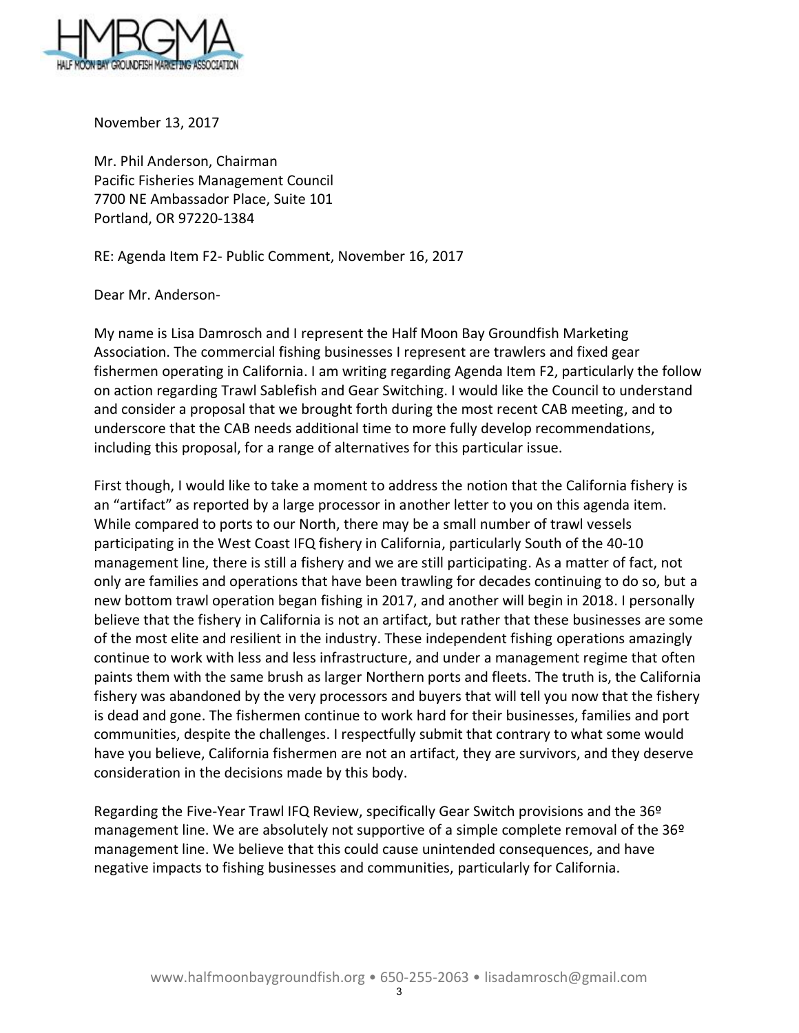

November 13, 2017

Mr. Phil Anderson, Chairman Pacific Fisheries Management Council 7700 NE Ambassador Place, Suite 101 Portland, OR 97220-1384

RE: Agenda Item F2- Public Comment, November 16, 2017

Dear Mr. Anderson-

My name is Lisa Damrosch and I represent the Half Moon Bay Groundfish Marketing Association. The commercial fishing businesses I represent are trawlers and fixed gear fishermen operating in California. I am writing regarding Agenda Item F2, particularly the follow on action regarding Trawl Sablefish and Gear Switching. I would like the Council to understand and consider a proposal that we brought forth during the most recent CAB meeting, and to underscore that the CAB needs additional time to more fully develop recommendations, including this proposal, for a range of alternatives for this particular issue.

First though, I would like to take a moment to address the notion that the California fishery is an "artifact" as reported by a large processor in another letter to you on this agenda item. While compared to ports to our North, there may be a small number of trawl vessels participating in the West Coast IFQ fishery in California, particularly South of the 40-10 management line, there is still a fishery and we are still participating. As a matter of fact, not only are families and operations that have been trawling for decades continuing to do so, but a new bottom trawl operation began fishing in 2017, and another will begin in 2018. I personally believe that the fishery in California is not an artifact, but rather that these businesses are some of the most elite and resilient in the industry. These independent fishing operations amazingly continue to work with less and less infrastructure, and under a management regime that often paints them with the same brush as larger Northern ports and fleets. The truth is, the California fishery was abandoned by the very processors and buyers that will tell you now that the fishery is dead and gone. The fishermen continue to work hard for their businesses, families and port communities, despite the challenges. I respectfully submit that contrary to what some would have you believe, California fishermen are not an artifact, they are survivors, and they deserve consideration in the decisions made by this body.

Regarding the Five-Year Trawl IFQ Review, specifically Gear Switch provisions and the 36º management line. We are absolutely not supportive of a simple complete removal of the 36º management line. We believe that this could cause unintended consequences, and have negative impacts to fishing businesses and communities, particularly for California.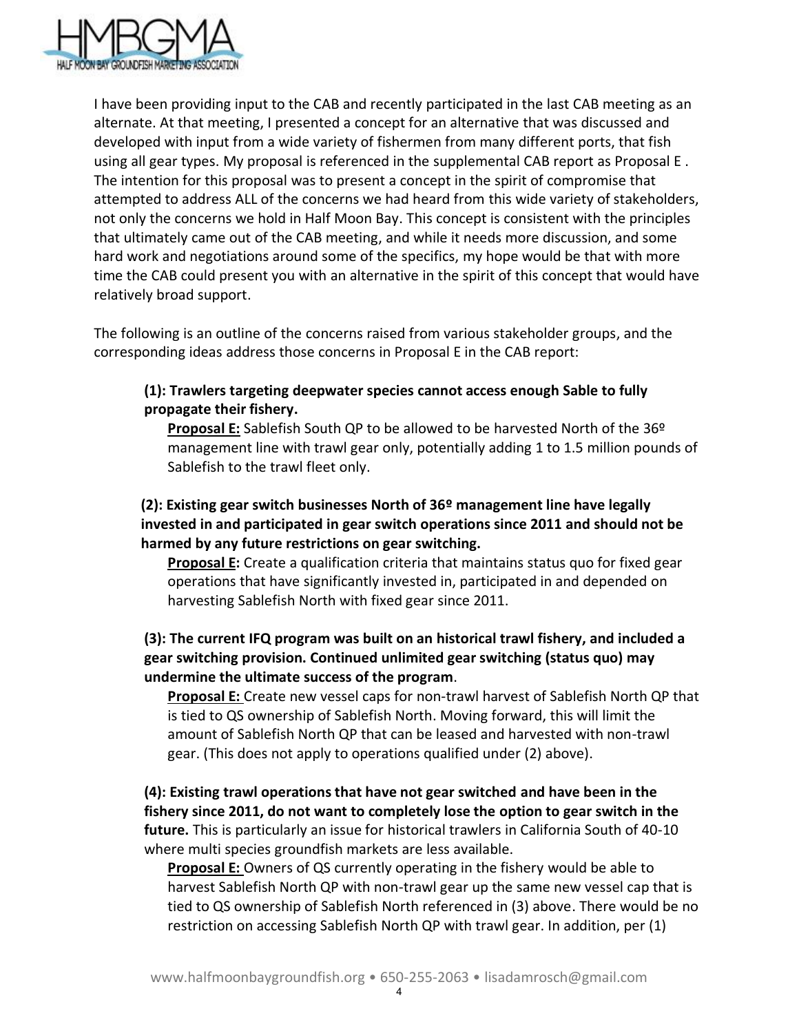

I have been providing input to the CAB and recently participated in the last CAB meeting as an alternate. At that meeting, I presented a concept for an alternative that was discussed and developed with input from a wide variety of fishermen from many different ports, that fish using all gear types. My proposal is referenced in the supplemental CAB report as Proposal E . The intention for this proposal was to present a concept in the spirit of compromise that attempted to address ALL of the concerns we had heard from this wide variety of stakeholders, not only the concerns we hold in Half Moon Bay. This concept is consistent with the principles that ultimately came out of the CAB meeting, and while it needs more discussion, and some hard work and negotiations around some of the specifics, my hope would be that with more time the CAB could present you with an alternative in the spirit of this concept that would have relatively broad support.

The following is an outline of the concerns raised from various stakeholder groups, and the corresponding ideas address those concerns in Proposal E in the CAB report:

## **(1): Trawlers targeting deepwater species cannot access enough Sable to fully propagate their fishery.**

**Proposal E:** Sablefish South QP to be allowed to be harvested North of the 36º management line with trawl gear only, potentially adding 1 to 1.5 million pounds of Sablefish to the trawl fleet only.

## **(2): Existing gear switch businesses North of 36º management line have legally invested in and participated in gear switch operations since 2011 and should not be harmed by any future restrictions on gear switching.**

**Proposal E:** Create a qualification criteria that maintains status quo for fixed gear operations that have significantly invested in, participated in and depended on harvesting Sablefish North with fixed gear since 2011.

## **(3): The current IFQ program was built on an historical trawl fishery, and included a gear switching provision. Continued unlimited gear switching (status quo) may undermine the ultimate success of the program**.

**Proposal E:** Create new vessel caps for non-trawl harvest of Sablefish North QP that is tied to QS ownership of Sablefish North. Moving forward, this will limit the amount of Sablefish North QP that can be leased and harvested with non-trawl gear. (This does not apply to operations qualified under (2) above).

**(4): Existing trawl operations that have not gear switched and have been in the fishery since 2011, do not want to completely lose the option to gear switch in the future.** This is particularly an issue for historical trawlers in California South of 40-10 where multi species groundfish markets are less available.

**Proposal E:** Owners of QS currently operating in the fishery would be able to harvest Sablefish North QP with non-trawl gear up the same new vessel cap that is tied to QS ownership of Sablefish North referenced in (3) above. There would be no restriction on accessing Sablefish North QP with trawl gear. In addition, per (1)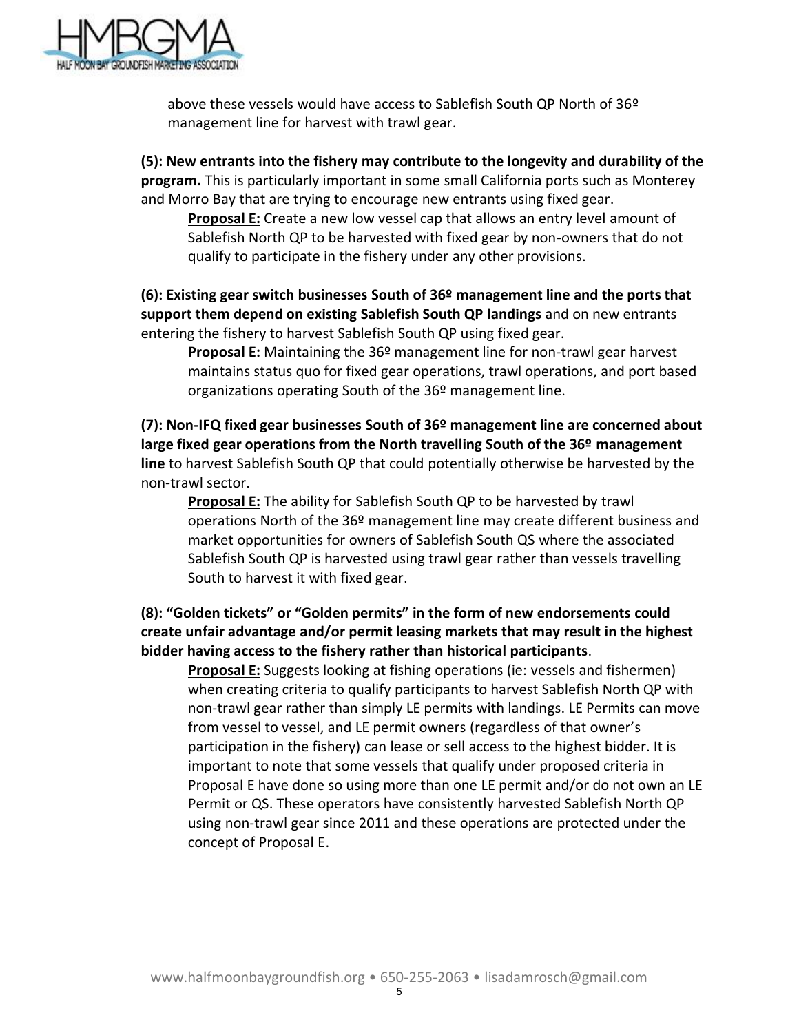

above these vessels would have access to Sablefish South QP North of 36º management line for harvest with trawl gear.

**(5): New entrants into the fishery may contribute to the longevity and durability of the program.** This is particularly important in some small California ports such as Monterey and Morro Bay that are trying to encourage new entrants using fixed gear.

**Proposal E:** Create a new low vessel cap that allows an entry level amount of Sablefish North QP to be harvested with fixed gear by non-owners that do not qualify to participate in the fishery under any other provisions.

**(6): Existing gear switch businesses South of 36º management line and the ports that support them depend on existing Sablefish South QP landings** and on new entrants entering the fishery to harvest Sablefish South QP using fixed gear.

**Proposal E:** Maintaining the 36º management line for non-trawl gear harvest maintains status quo for fixed gear operations, trawl operations, and port based organizations operating South of the 36º management line.

**(7): Non-IFQ fixed gear businesses South of 36º management line are concerned about large fixed gear operations from the North travelling South of the 36º management line** to harvest Sablefish South QP that could potentially otherwise be harvested by the non-trawl sector.

**Proposal E:** The ability for Sablefish South QP to be harvested by trawl operations North of the 36º management line may create different business and market opportunities for owners of Sablefish South QS where the associated Sablefish South QP is harvested using trawl gear rather than vessels travelling South to harvest it with fixed gear.

**(8): "Golden tickets" or "Golden permits" in the form of new endorsements could create unfair advantage and/or permit leasing markets that may result in the highest bidder having access to the fishery rather than historical participants**.

**Proposal E:** Suggests looking at fishing operations (ie: vessels and fishermen) when creating criteria to qualify participants to harvest Sablefish North QP with non-trawl gear rather than simply LE permits with landings. LE Permits can move from vessel to vessel, and LE permit owners (regardless of that owner's participation in the fishery) can lease or sell access to the highest bidder. It is important to note that some vessels that qualify under proposed criteria in Proposal E have done so using more than one LE permit and/or do not own an LE Permit or QS. These operators have consistently harvested Sablefish North QP using non-trawl gear since 2011 and these operations are protected under the concept of Proposal E.